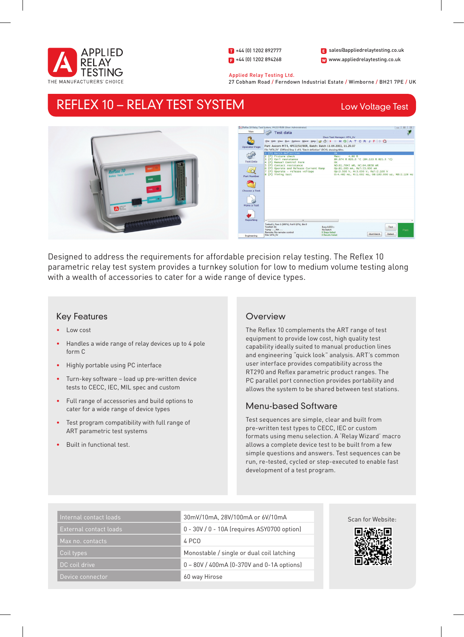

1 +44 (0) 1202 892777  $\left| \right|$  +44 (0) 1202 894268 W www.appliedrelaytesting.co.uk sales@appliedrelaytesting.co.uk

 Applied Relay Testing Ltd. 27 Cobham Road / Ferndown Industrial Estate / Wimborne / BH21 7PE / UK

# REFLEX 10 – RELAY TEST SYSTEM

# Low Voltage Test



Designed to address the requirements for affordable precision relay testing. The Reflex 10 parametric relay test system provides a turnkey solution for low to medium volume testing along with a wealth of accessories to cater for a wide range of device types.

## Key Features

- • Low cost
- Handles a wide range of relay devices up to 4 pole form C
- • Highly portable using PC interface
- • Turn-key software load up pre-written device tests to CECC, IEC, MIL spec and custom
- • Full range of accessories and build options to cater for a wide range of device types
- Test program compatibility with full range of ART parametric test systems
- • Built in functional test.

## **Overview**

The Reflex 10 complements the ART range of test equipment to provide low cost, high quality test capability ideally suited to manual production lines and engineering "quick look" analysis. ART's common user interface provides compatibility across the RT290 and Reflex parametric product ranges. The PC parallel port connection provides portability and allows the system to be shared between test stations.

## Menu-based Software

Test sequences are simple, clear and built from pre-written test types to CECC, IEC or custom formats using menu selection. A 'Relay Wizard' macro allows a complete device test to be built from a few simple questions and answers. Test sequences can be run, re-tested, cycled or step-executed to enable fast development of a test program.

| Internal contact loads | 30mV/10mA, 28V/100mA or 6V/10mA             |
|------------------------|---------------------------------------------|
| External contact loads | 0 - 30V / 0 - 10A (requires ASY0700 option) |
| Max no. contacts       | 4 PCO                                       |
| Coil types             | Monostable / single or dual coil latching   |
| DC coil drive          | 0 - 80V / 400mA (0-370V and 0-1A options)   |
| Device connector       | 60 way Hirose                               |